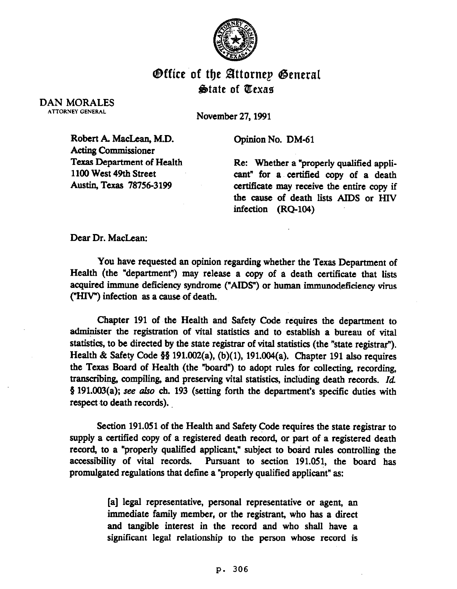

## **Office of the Attornep General State of Texas**

## DAN MORALES ATTORNEY GENERAL

November 27,199l

Robert A. MacLean, M.D. Acting Commissioner Texas Department of Health 1100 West 49th Street Austin, Texas 78756-3199

Opinion No. DM-61

Re: Whether a "properly qualified applicant" for a certified copy of a death certificate may receive the entire copy if the cause of death lists AIDS or HIV infection (RQ-104)

Dear Dr. MacLean:

You have requested an opinion regarding whether the Texas Department of Health (the "department") may release a copy of a death certificate that lists acquired immune deficiency syndrome ("AIDS") or human immunodeficiency virus ("HIV") infection as a cause of death.

Chapter 191 of 'the Health and Safety Code requires the department to administer the registration of vital statistics and to establish a bureau of vital statistics, to be directed by the state registrar of vital statistics (the "state registrar"). Health & Safety Code §§ 191.002(a), (b)(1), 191.004(a). Chapter 191 also requires the Texas Board of Health (the "board") to adopt rules for collecting, recording, transcribing, compiling, and preserving vital statistics, including death records. Id § 191.003(a); see also ch. 193 (setting forth the department's specific duties with respect to death records).

Section 191.051 of the Health and Safety Code requires the state registrar to supply a certified copy of a registered death record, or part of a registered death record, to a "properly qualified applicant," subject to board rules controlling the accessibility of vital records. Pursuant to section 191.05!, the board has promulgated regulations that define a "properly qualified applicant" as:

> [a] legal representative, personal representative or agent, an immediate family member, or the registrant, who has a direct and tangible interest in the record and who shall have a significant legal relationship to the person whose record is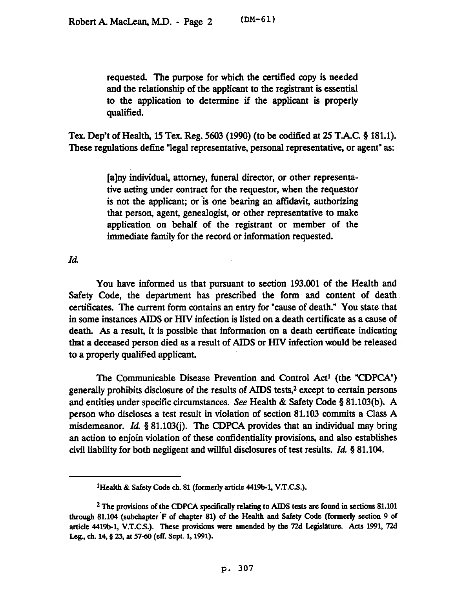requested. The purpose for which the certified copy is needed and the relationship of the applicant to the registrant is essential to the application to determine if the applicant is properly qualified.

Tex. Dep't of Health, 15 Tex. Reg. 5603 (1990) (to be codified at 25 T.A.C. 9 181.1). These regulations define "legal representative, personal representative, or agent" as:

> [a]ny individual, attorney, funeral director, or other representative acting under contract for the requestor, when the requestor is not the applicant; or is one bearing an affidavit, authorizing that person, agent, genealogist, or other representative to make application on behalf of the registrant or member of the immediate family for the record or information requested.

*Id* 

You have informed us that pursuant to section 193.001 of the Health and Safety Code, the department has prescribed the form and content of death certificates. The current form contains an entry for "cause of death." You state that in some instances AIDS or HIV infection is listed on a death certificate as a cause of death. As a result, it is possible that information on a death certificate indicating that a deceased person died as a result of AIDS or HIV infection would be released to a properly qualified applicant.

The Communicable Disease Prevention and Control Act' (the "CDPCA") generally prohibits disclosure of the results of AIDS tests,2 except to certain persons and entities under specific circumstances. See Health & Safety Code § 81.103(b). A person who discloses a test result in violation of section 81.193 commits a Class A misdemeanor. Id.  $\S$  81.103(i). The CDPCA provides that an individual may bring an action to enjoin violation of these confidentiality provisions, and also establishes civil liability for both negligent and willful disclosures of test results.  $Id.$  § 81.104.

**<sup>&#</sup>x27;Health & Safety Code ch. 81 (formerly article 4419b-1, V.T.C.S.).** 

<sup>&</sup>lt;sup>2</sup> The provisions of the CDPCA specifically relating to AIDS tests are found in sections 81.101 **through 81.104 (subchapter 'F of chapter 81) of the Health aad Safety Code (formerly section 9 of**  article 4419b-1, V.T.C.S.). These provisions were amended by the 72d Legislature. Acts 1991, 72d Leg., ch. 14, § 23, at 57-60 (eff. Sept. 1, 1991).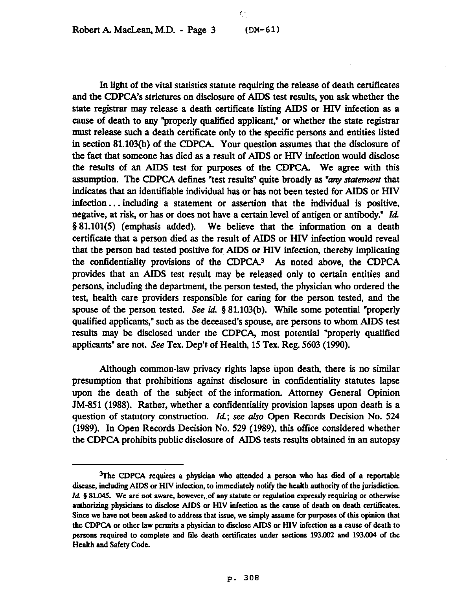c-

In light of the vital statistics statute requiring the release of death certificates and the CDPCA's strictures on disclosure of AIDS test results, you ask whether the state registrar may release a death certificate listing AIDS or HIV infection as a cause of death to any "properly qualified applicant," or whether the state registrar must release such a death certificate only to the specific persons and entities listed in section 81.103(b) of the CDPCA. Your question assumes that the disclosure of the fact that someone has died as a result of AIDS or HIV infection would disclose the results of an AIDS test for purposes of the CDPCA. We agree with this assumption. The CDPCA defines "test results" quite broadly as "any statement that indicates that an identifiable individual has or has not been tested for AIDS or HIV infection. . . including a statement or assertion that the individual is positive, negative, at risk, or has or does not have a certain level of antigen or antibody." Id. 5 81.101(5) (emphasis added). We believe that the information on a death certificate that a person died as the result of AIDS or HIV infection would reveal that the person had tested positive for AIDS or HIV infection, thereby implicating the confidentiality provisions of the CDPCA. $3$  As noted above, the CDPCA provides that an AIDS test result may be released only to certain entities and persons, including the department, the person tested, the physician who ordered the test, health care providers responsible for caring for the person tested, and the spouse of the person tested. See id.  $\S 81.103(b)$ . While some potential "properly qualified applicants," such as the deceased's spouse, are persons to whom AIDS test results may be disclosed under the CDPCA, most potential "properly qualified applicants" are not. See Tex. Dep't of Health, 15 Tex. Reg. 5603 (1990).

Although common-law privacy rights lapse upon death, there is no similar presumption that prohibitions against disclosure in confidentiality statutes lapse upon the death of the subject of the information. Attorney General Opinion JM-851 (1988). Rather, whether a confidentiality provision lapses upon death is a question of statutory construction. Id.; see also Open Records Decision No. 524 (1989). In Open Records Decision No. 529 (1989), this office considered whether the CDPCA prohibits public disclosure of AIDS tests results obtained in an autopsy

**<sup>%</sup>he CDPCA requires a physiciaa who attended a person who has died of a reportable disease, including AIDS or HIV infection, to immediately notify the heakh authority of the jurisdiction.**  Id. § 81.045. We are not aware, however, of any statute or regulation expressly requiring or otherwise authorizing physicians to disclose AIDS or HIV infection as the cause of death on death certificates. **Smce we have not been asked to address that issue, we simply assume for purposes of this opinion that**  the CDPCA or other law permits a physician to disclose AIDS or HIV infection as a cause of death to persons required to complete and file death certificates under sections 193.002 and 193.004 of the **Health and Safety Code.**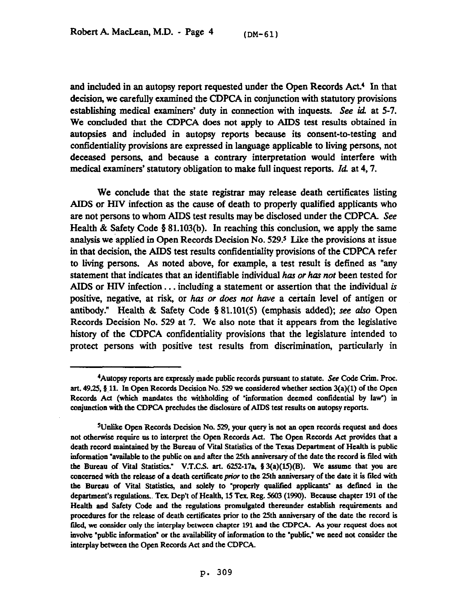and included in an autopsy report requested under the Open Records Act.<sup>4</sup> In that decision, we carefully examined the CDPCA in conjunction with statutory provisions establishing medical examiners' duty in connection with inquests. See id. at 5-7. We concluded that the CDPCA does not apply to AIDS test results obtained in autopsies and included in autopsy reports because its consent-to-testing and confidentiality provisions are expressed in language applicable to living persons, not deceased persons, and because a contrary interpretation would interfere with medical examiners' statutory obligation to make full inquest reports. *Id* at 4,7.

We conclude that the state registrar may release death certificates listing AIDS or HIV infection as the cause of death to properly qualified applicants who are not persons to whom AIDS test results may be disclosed under the CDPCA. See Health & Safety Code  $\S 81.103(b)$ . In reaching this conclusion, we apply the same analysis we applied in Open Records Decision No. 529.5 Like the provisions at issue in that decision, the AIDS test results confidentiality provisions of the CDPCA refer to living persons. As noted above, for example, a test result is defined as "any statement that indicates that an identifiable individual has or has not been tested for AIDS or HIV infection... including a statement or assertion that the individual is positive, negative, at risk, or has or does not have a certain level of antigen or antibody." Health & Safety Code 5 81.101(5) (emphasis added); see also Cpen Records Decision No. 529 at 7. We also note that it appears from the legislative history of the CDPCA confidentiality provisions that the legislature intended to protect persons with positive test results from discrimination, particularly in

<sup>&</sup>lt;sup>4</sup> Autopsy reports are expressly made public records pursuant to statute. See Code Crim. Proc. art. 49.25, § 11. In Open Records Decision No. 529 we considered whether section 3(a)(1) of the Open **Records Ad (which mandates the withholding of 'information deemed contidential by law") in conjunction with the CDPCA precludes the disclositrc of AIDS test results on autopsy reports.** 

<sup>&</sup>lt;sup>5</sup>Unlike Open Records Decision No. 529, your query is not an open records request and does not otherwise require us to interpret the Open Records Act. The Open Records Act provides that a death record maintained by the Bureau of Vital Statistics of the Texas Department of Health is public information "available to the public on and after the 25th anniversary of the date the record is filed with the Bureau of Vital Statistics." V.T.C.S. art.  $6252-17a$ ,  $\frac{2}{3}(a)(15)(B)$ . We assume that you are concerned with the release of a death certificate *prior* to the 25th anniversary of the date it is filed with **the Bureau of Vital Statistics, aad solely to "properly quaIitied applicaats" as detined in the department's regulations.. Tex. Dep't of Health, 15 Tex. Reg. 5603 (1990). Because chapter 191 of the HeaIth aod Safety Code and the regulatioas promulgated thereunder establish requirements and**  procedures for the release of death certificates prior to the 25th anniversary of the date the record is filed, we consider only the interplay between chapter 191 and the CDPCA. As your request does not **involve "public information" or the availability of information to the "pubtic,' we need not consider the**  interplay between the Open Records Act and the CDPCA.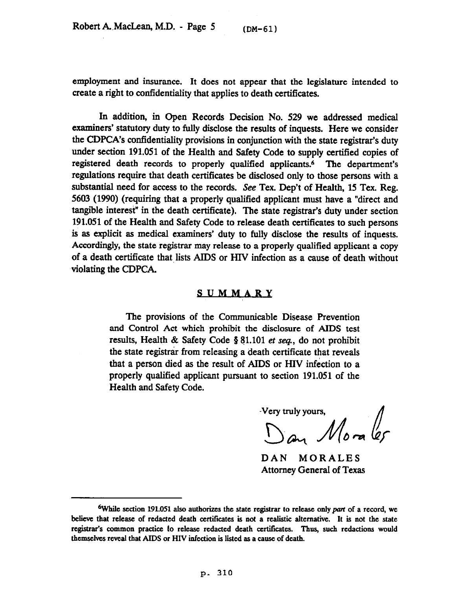employment and insurance. It does not appear that the legislature intended to create a right to confidentiality that applies to death certificates.

In addition, in Gpen Records Decision No. 529 we addressed medical examiners' statutory duty to fully disclose the results of inquests. Here we consider the CDPCA's confidentiality provisions in conjunction with the state registrar's duty under section 191.051 of the Health and Safety Code to supply certified copies of registered death records to properly qualified applicants.6 The department's regulations require that death certificates be disclosed only to those persons with a substantial need for access to the records. See Tex. Dep't of Health, 15 Tex. Reg. 5603 (1990) (requiring that a properly qualified applicant must have a "direct and tangible interest" in the death certificate). The state registrar's duty under section 191.051 of the Health and Safety Code to release death certificates to such persons is as explicit as medical examiners' duty to fully disclose the results of inquests. Accordingly, the state registrar may release to a properly qualified applicant a copy of a death certificate that lists AIDS or HIV infection as a cause of death without violating the CDPCA.

## **SUMMARY**

The provisions of the Communicable Disease Prevention and Control Act which prohibit the disclosure of AIDS test results, Health & Safety Code § 81.101 *et seq.*, do not prohibit the state registrar from releasing a death certificate that reveals that a person died as the result of AIDS or HIV infection to a properly qualified applicant pursuant to section 191.051 of the Health and Safety Code.

Very truly yours, Very truly yours,<br>Dan  $M_0$ ra les

DAN MORALES Attorney General of Texas

<sup>&</sup>lt;sup>6</sup>While section 191.051 also authorizes the state registrar to release only part of a record, we believe that release of redacted death certificates is not a realistic alternative. It is not the state **registrar's common practice to release redacted death certiticates. Thus, such redactions would**  themselves reveal that AIDS or HIV infection is listed as a cause of death.